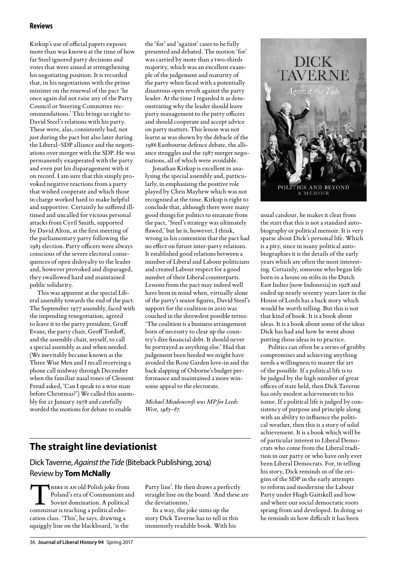## **Reviews**

Kirkup's use of official papers exposes more than was known at the time of how far Steel ignored party decisions and votes that were aimed at strengthening his negotiating position. It is recorded that, in his negotiations with the prime minister on the renewal of the pact 'he once again did not raise any of the Party Council or Steering Committee recommendations.' This brings us right to David Steel's relations with his party. These were, alas, consistently bad, not just during the pact but also later during the Liberal–SDP alliance and the negotiations over merger with the SDP. He was permanently exasperated with the party and even put his disparagement with it on record. I am sure that this simply provoked negative reactions from a party that wished cooperate and which those in charge worked hard to make helpful and supportive. Certainly he suffered illtimed and uncalled for vicious personal attacks from Cyril Smith, supported by David Alton, at the first meeting of the parliamentary party following the 1983 election. Party officers were always conscious of the severe electoral consequences of open disloyalty to the leader and, however provoked and disparaged, they swallowed hard and maintained public solidarity.

This was apparent at the special Liberal assembly towards the end of the pact. The September 1977 assembly, faced with the impending renegotiation, agreed to leave it to the party president, Gruff Evans, the party chair, Geoff Tordoff, and the assembly chair, myself, to call a special assembly as and when needed. (We inevitably became known as the Three Wise Men and I recall receiving a phone call midway through December when the familiar nasal tones of Clement Freud asked, 'Can I speak to a wise man before Christmas?') We called this assembly for 21 January 1978 and carefully worded the motions for debate to enable

the 'for' and 'against' cases to be fully presented and debated. The motion 'for' was carried by more than a two-thirds majority, which was an excellent example of the judgement and maturity of the party when faced with a potentially disastrous open revolt against the party leader. At the time I regarded it as demonstrating why the leader should leave party management to the party officers and should cooperate and accept advice on party matters. This lesson was not learnt as was shown by the debacle of the 1986 Eastbourne defence debate, the alliance struggles and the 1987 merger negotiations, all of which were avoidable.

Jonathan Kirkup is excellent in analysing the special assembly and, particularly, in emphasising the positive role played by Chris Mayhew which was not recognised at the time. Kirkup is right to conclude that, although there were many good things for politics to emanate from the pact, 'Steel's strategy was ultimately flawed,' but he is, however, I think, wrong in his contention that the pact had no effect on future inter-party relations. It established good relations between a number of Liberal and Labour politicians and created Labour respect for a good number of their Liberal counterparts. Lessons from the pact may indeed well have been in mind when, virtually alone of the party's senior figures, David Steel's support for the coalition in 2010 was couched in the shrewdest possible terms: 'The coalition is a business arrangement born of necessity to clear up the country's dire financial debt. It should never be portrayed as anything else.' Had that judgement been heeded we might have avoided the Rose Garden love-in and the back slapping of Osborne's budget performance and maintained a more winsome appeal to the electorate.

*Michael Meadowcroft was MP for Leeds West, 1983–87.*

## **The straight line deviationist**

Dick Taverne, *Against the Tide* (Biteback Publishing, 2014) Review by **Tom McNally**

THERE IS AN old Polish joke from<br>Poland's era of Communism an<br>Soviet domination. A political Poland's era of Communism and Soviet domination. A political commissar is teaching a political education class. 'This', he says, drawing a squiggly line on the blackboard, 'is the

Party line'. He then draws a perfectly straight line on the board. 'And these are the deviationists.'

In a way, the joke sums up the story Dick Taverne has to tell in this immensely readable book. With his



usual candour, he makes it clear from the start that this is not a standard autobiography or political memoir. It is very sparse about Dick's personal life. Which is a pity, since in many political autobiographies it is the details of the early years which are often the most interesting. Certainly, someone who began life born in a house on stilts in the Dutch East Indies (now Indonesia) in 1928 and ended up nearly seventy years later in the House of Lords has a back story which would be worth telling. But this is not that kind of book. It is a book about ideas. It is a book about some of the ideas Dick has had and how he went about putting those ideas in to practice.

Politics can often be a series of grubby compromises and achieving anything needs a willingness to master the art of the possible. If a political life is to be judged by the high number of great offices of state held, then Dick Taverne has only modest achievements to his name. If a political life is judged by consistency of purpose and principle along with an ability to influence the political weather, then this is a story of solid achievement. It is a book which will be of particular interest to Liberal Democrats who come from the Liberal tradition in our party or who have only ever been Liberal Democrats. For, in telling his story, Dick reminds us of the origins of the SDP in the early attempts to reform and modernise the Labour Party under Hugh Gaitskell and how and where our social democratic roots sprang from and developed. In doing so he reminds us how difficult it has been